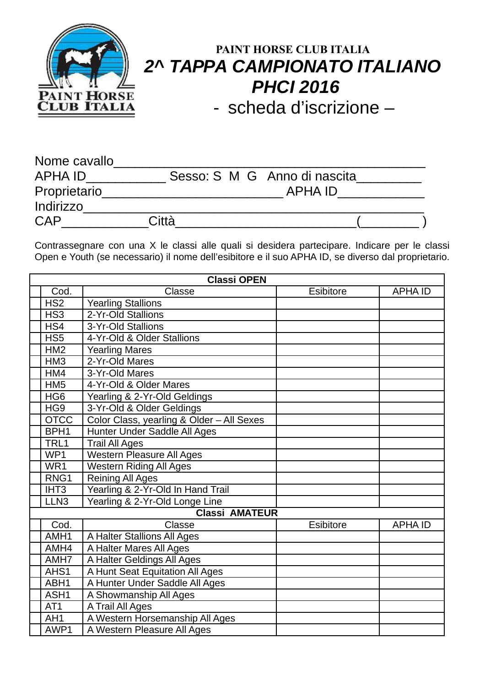

## **PAINT HORSE CLUB ITALIA 2^ TAPPA CAMPIONATO ITALIANO PHCI 2016**

- scheda d'iscrizione –

| Nome cavallo |       |                              |  |
|--------------|-------|------------------------------|--|
| APHA ID      |       | Sesso: S M G Anno di nascita |  |
| Proprietario |       | APHA ID                      |  |
| Indirizzo    |       |                              |  |
| <b>CAP</b>   | Città |                              |  |

Contrassegnare con una X le classi alle quali si desidera partecipare. Indicare per le classi Open e Youth (se necessario) il nome dell'esibitore e il suo APHA ID, se diverso dal proprietario.

| <b>Classi OPEN</b>    |                                           |                  |                |  |  |
|-----------------------|-------------------------------------------|------------------|----------------|--|--|
| Cod.                  | Classe                                    | <b>Esibitore</b> | <b>APHA ID</b> |  |  |
| HS <sub>2</sub>       | <b>Yearling Stallions</b>                 |                  |                |  |  |
| HS <sub>3</sub>       | 2-Yr-Old Stallions                        |                  |                |  |  |
| HS4                   | 3-Yr-Old Stallions                        |                  |                |  |  |
| HS <sub>5</sub>       | 4-Yr-Old & Older Stallions                |                  |                |  |  |
| HM2                   | <b>Yearling Mares</b>                     |                  |                |  |  |
| HM <sub>3</sub>       | 2-Yr-Old Mares                            |                  |                |  |  |
| HM4                   | 3-Yr-Old Mares                            |                  |                |  |  |
| HM <sub>5</sub>       | 4-Yr-Old & Older Mares                    |                  |                |  |  |
| HG <sub>6</sub>       | Yearling & 2-Yr-Old Geldings              |                  |                |  |  |
| HG <sub>9</sub>       | 3-Yr-Old & Older Geldings                 |                  |                |  |  |
| <b>OTCC</b>           | Color Class, yearling & Older - All Sexes |                  |                |  |  |
| BPH <sub>1</sub>      | Hunter Under Saddle All Ages              |                  |                |  |  |
| TRL1                  | <b>Trail All Ages</b>                     |                  |                |  |  |
| WP1                   | <b>Western Pleasure All Ages</b>          |                  |                |  |  |
| WR1                   | <b>Western Riding All Ages</b>            |                  |                |  |  |
| RNG1                  | <b>Reining All Ages</b>                   |                  |                |  |  |
| IHT <sub>3</sub>      | Yearling & 2-Yr-Old In Hand Trail         |                  |                |  |  |
| LLN <sub>3</sub>      | Yearling & 2-Yr-Old Longe Line            |                  |                |  |  |
| <b>Classi AMATEUR</b> |                                           |                  |                |  |  |
| Cod.                  | Classe                                    | <b>Esibitore</b> | <b>APHA ID</b> |  |  |
| AMH1                  | A Halter Stallions All Ages               |                  |                |  |  |
| AMH4                  | A Halter Mares All Ages                   |                  |                |  |  |
| AMH7                  | A Halter Geldings All Ages                |                  |                |  |  |
| AHS1                  | A Hunt Seat Equitation All Ages           |                  |                |  |  |
| ABH1                  | A Hunter Under Saddle All Ages            |                  |                |  |  |
| ASH1                  | A Showmanship All Ages                    |                  |                |  |  |
| AT <sub>1</sub>       | A Trail All Ages                          |                  |                |  |  |
| AH <sub>1</sub>       | A Western Horsemanship All Ages           |                  |                |  |  |
| AWP1                  | A Western Pleasure All Ages               |                  |                |  |  |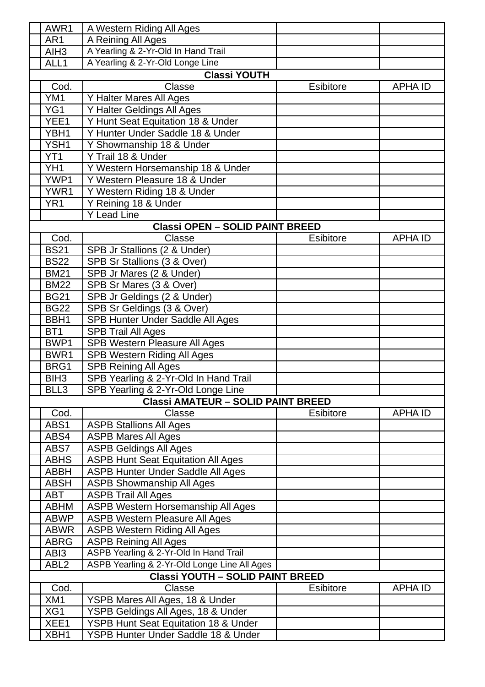| AWR1                | A Western Riding All Ages                       |                  |                |  |  |
|---------------------|-------------------------------------------------|------------------|----------------|--|--|
| AR1                 | A Reining All Ages                              |                  |                |  |  |
| AIH <sub>3</sub>    | A Yearling & 2-Yr-Old In Hand Trail             |                  |                |  |  |
| ALL1                | A Yearling & 2-Yr-Old Longe Line                |                  |                |  |  |
|                     |                                                 |                  |                |  |  |
| <b>Classi YOUTH</b> |                                                 |                  |                |  |  |
| Cod.                | Classe                                          | <b>Esibitore</b> | <b>APHA ID</b> |  |  |
| YM1                 | Y Halter Mares All Ages                         |                  |                |  |  |
| YG1                 | Y Halter Geldings All Ages                      |                  |                |  |  |
| YEE1                | Y Hunt Seat Equitation 18 & Under               |                  |                |  |  |
| YBH1                | Y Hunter Under Saddle 18 & Under                |                  |                |  |  |
| YSH1                | Y Showmanship 18 & Under                        |                  |                |  |  |
| YT <sub>1</sub>     | Y Trail 18 & Under                              |                  |                |  |  |
| YH <sub>1</sub>     | Y Western Horsemanship 18 & Under               |                  |                |  |  |
| YWP1                | Y Western Pleasure 18 & Under                   |                  |                |  |  |
| YWR1                | Y Western Riding 18 & Under                     |                  |                |  |  |
| YR <sub>1</sub>     | Y Reining 18 & Under                            |                  |                |  |  |
|                     | <b>Y Lead Line</b>                              |                  |                |  |  |
|                     | <b>Classi OPEN - SOLID PAINT BREED</b>          |                  |                |  |  |
| Cod.                | Classe                                          | <b>Esibitore</b> | <b>APHA ID</b> |  |  |
| <b>BS21</b>         | SPB Jr Stallions (2 & Under)                    |                  |                |  |  |
| <b>BS22</b>         | SPB Sr Stallions (3 & Over)                     |                  |                |  |  |
| <b>BM21</b>         | SPB Jr Mares (2 & Under)                        |                  |                |  |  |
| <b>BM22</b>         | SPB Sr Mares (3 & Over)                         |                  |                |  |  |
| <b>BG21</b>         | SPB Jr Geldings (2 & Under)                     |                  |                |  |  |
| <b>BG22</b>         | SPB Sr Geldings (3 & Over)                      |                  |                |  |  |
| BBH1                | <b>SPB Hunter Under Saddle All Ages</b>         |                  |                |  |  |
| BT <sub>1</sub>     | <b>SPB Trail All Ages</b>                       |                  |                |  |  |
| BWP1                | SPB Western Pleasure All Ages                   |                  |                |  |  |
| BWR1                | <b>SPB Western Riding All Ages</b>              |                  |                |  |  |
| BRG1                | <b>SPB Reining All Ages</b>                     |                  |                |  |  |
| BIH <sub>3</sub>    | SPB Yearling & 2-Yr-Old In Hand Trail           |                  |                |  |  |
| BLL3                | SPB Yearling & 2-Yr-Old Longe Line              |                  |                |  |  |
|                     | <b>Classi AMATEUR - SOLID PAINT BREED</b>       |                  |                |  |  |
| Cod.                | Classe                                          | <b>Esibitore</b> | <b>APHA ID</b> |  |  |
| ABS1                | <b>ASPB Stallions All Ages</b>                  |                  |                |  |  |
| ABS4                | <b>ASPB Mares All Ages</b>                      |                  |                |  |  |
| ABS7                | <b>ASPB Geldings All Ages</b>                   |                  |                |  |  |
| <b>ABHS</b>         | <b>ASPB Hunt Seat Equitation All Ages</b>       |                  |                |  |  |
| <b>ABBH</b>         | ASPB Hunter Under Saddle All Ages               |                  |                |  |  |
| <b>ABSH</b>         | <b>ASPB Showmanship All Ages</b>                |                  |                |  |  |
| ABT                 | <b>ASPB Trail All Ages</b>                      |                  |                |  |  |
| <b>ABHM</b>         | ASPB Western Horsemanship All Ages              |                  |                |  |  |
| <b>ABWP</b>         | <b>ASPB Western Pleasure All Ages</b>           |                  |                |  |  |
| <b>ABWR</b>         | <b>ASPB Western Riding All Ages</b>             |                  |                |  |  |
| <b>ABRG</b>         | <b>ASPB Reining All Ages</b>                    |                  |                |  |  |
| ABI3                | ASPB Yearling & 2-Yr-Old In Hand Trail          |                  |                |  |  |
| ABL <sub>2</sub>    | ASPB Yearling & 2-Yr-Old Longe Line All Ages    |                  |                |  |  |
|                     | <b>Classi YOUTH - SOLID PAINT BREED</b>         |                  |                |  |  |
| Cod.                | Classe                                          | <b>Esibitore</b> | <b>APHA ID</b> |  |  |
| XM1                 | YSPB Mares All Ages, 18 & Under                 |                  |                |  |  |
| XG1                 | YSPB Geldings All Ages, 18 & Under              |                  |                |  |  |
| XEE1                | <b>YSPB Hunt Seat Equitation 18 &amp; Under</b> |                  |                |  |  |
| XBH1                | YSPB Hunter Under Saddle 18 & Under             |                  |                |  |  |